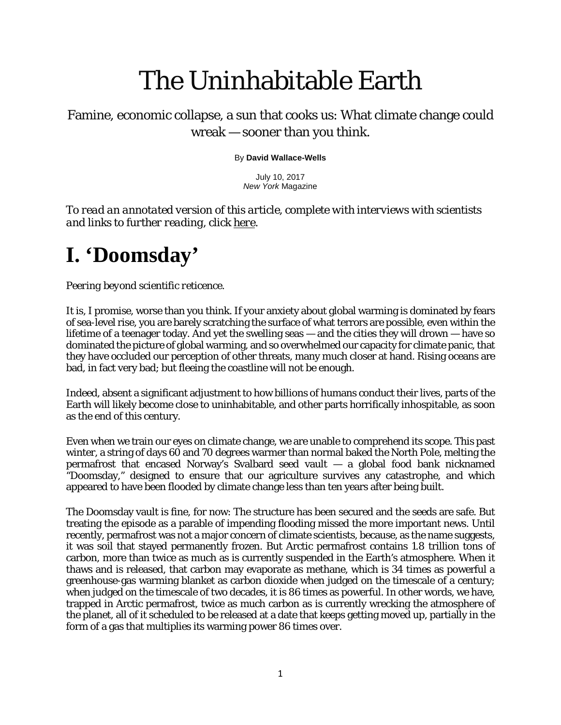# The Uninhabitable Earth

#### Famine, economic collapse, a sun that cooks us: What climate change could wreak — sooner than you think.

#### By **[David Wallace-Wells](http://nymag.com/author/david-wallace-wells/)**

July 10, 2017 *New York* Magazine

*To read an annotated version of this article, complete with interviews with scientists and links to further reading, click [here.](http://nymag.com/daily/intelligencer/2017/07/climate-change-earth-too-hot-for-humans-annotated.html)*

### **I. 'Doomsday'**

*Peering beyond scientific reticence.*

It is, I promise, worse than you think. If your anxiety about global warming is dominated by fears of sea-level rise, you are barely scratching the surface of what terrors are possible, even within the lifetime of a teenager today. And yet the swelling seas — and the cities they will drown — have so dominated the picture of global warming, and so overwhelmed our capacity for climate panic, that they have occluded our perception of other threats, many much closer at hand. Rising oceans are bad, in fact very bad; but fleeing the coastline will not be enough.

Indeed, absent a significant adjustment to how billions of humans conduct their lives, parts of the Earth will likely become close to uninhabitable, and other parts horrifically inhospitable, as soon as the end of this century.

Even when we train our eyes on climate change, we are unable to comprehend its scope. This past winter, a string of days 60 and 70 degrees warmer than normal baked the North Pole, melting the permafrost that encased Norway's Svalbard seed vault — a global food bank nicknamed "Doomsday," designed to ensure that our agriculture survives any catastrophe, and which appeared to have been flooded by climate change less than ten years after being built.

The Doomsday vault is fine, for now: The structure has been secured and the seeds are safe. But treating the episode as a parable of impending flooding missed the more important news. Until recently, permafrost was not a major concern of climate scientists, because, as the name suggests, it was soil that stayed permanently frozen. But Arctic permafrost contains 1.8 trillion tons of carbon, more than twice as much as is currently suspended in the Earth's atmosphere. When it thaws and is released, that carbon may evaporate as methane, which is 34 times as powerful a greenhouse-gas warming blanket as carbon dioxide when judged on the timescale of a century; when judged on the timescale of two decades, it is 86 times as powerful. In other words, we have, trapped in Arctic permafrost, twice as much carbon as is currently wrecking the atmosphere of the planet, all of it scheduled to be released at a date that keeps getting moved up, partially in the form of a gas that multiplies its warming power 86 times over.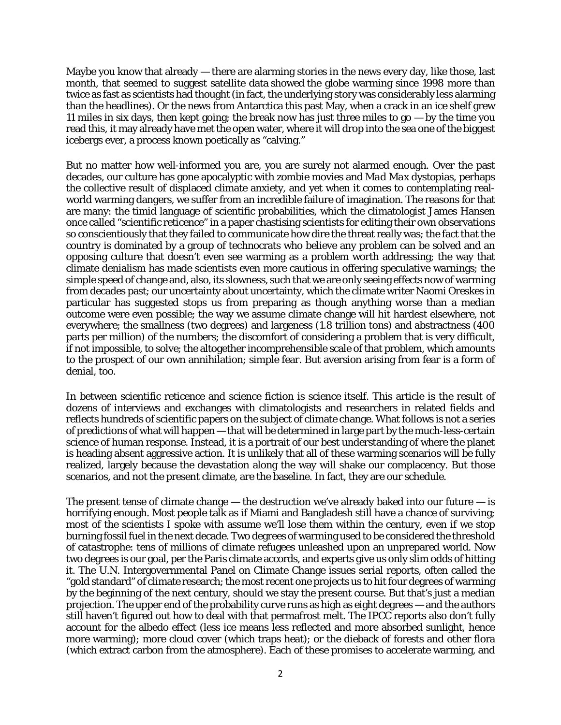Maybe you know that already — there are alarming stories in the news every day, like those, last month, that seemed to suggest satellite data [showed](https://www.carbonbrief.org/major-correction-to-satellite-data-shows-140-faster-warming-since-1998) the globe warming since 1998 more than twice as fast as scientists had thought (in fact, the underlying story was considerably less alarming than the headlines). Or the news from Antarctica this past May, when a [crack](http://www.newsweek.com/antarctica-ice-shelf-larsen-c-crack-grown-618676) in an ice shelf grew 11 miles in six days, then kept going; the break now has just three miles to  $g_0 -$  by the time you read this, [it may already have met the open water,](http://nymag.com/daily/intelligencer/2017/07/trillion-ton-iceberg-breaks-off-antarctic-ice-shelf.html) where it will drop into the sea one of the biggest icebergs ever, a process known poetically as "calving."

But no matter how well-informed you are, you are surely not alarmed enough. Over the past decades, our culture has gone apocalyptic with zombie movies and *[Mad Max](http://www.vulture.com/2016/07/the-present-worse-than-fictional-dystopias.html)* dystopias, perhaps the collective result of displaced climate anxiety, and yet when it comes to contemplating realworld warming dangers, we suffer from an incredible failure of imagination. The reasons for that are many: the timid language of scientific probabilities, which the climatologist James Hansen once called "scientific reticence" in a paper chastising scientists for editing their own observations so conscientiously that they failed to communicate how dire the threat really was; the fact that the country is dominated by a group of technocrats who believe any problem can be solved and an opposing culture that doesn't even see warming as a problem worth addressing; the way that climate denialism has made scientists even more cautious in offering speculative warnings; the simple speed of change and, also, its slowness, such that we are only seeing effects now of warming from decades past; our uncertainty about uncertainty, which the climate writer Naomi Oreskes in particular has suggested stops us from preparing as though anything worse than a median outcome were even possible; the way we assume climate change will hit hardest elsewhere, not everywhere; the smallness (two degrees) and largeness (1.8 trillion tons) and abstractness (400 parts per million) of the numbers; the discomfort of considering a problem that is very difficult, if not impossible, to solve; the altogether incomprehensible scale of that problem, which amounts to the prospect of our own annihilation; simple fear. But aversion arising from fear is a form of denial, too.

In between scientific reticence and science fiction is science itself. This article is the result of dozens of interviews and exchanges with climatologists and researchers in related fields and reflects hundreds of scientific papers on the subject of climate change. What follows is not a series of predictions of what will happen — that will be determined in large part by the much-less-certain science of human response. Instead, it is a portrait of our best understanding of where the planet is heading absent aggressive action. It is unlikely that all of these warming scenarios will be fully realized, largely because the devastation along the way will shake our complacency. But those scenarios, and not the present climate, are the baseline. In fact, they are our schedule.

The present tense of climate change  $-$  the destruction we've already baked into our future  $-$  is horrifying enough. Most people talk as if Miami and Bangladesh still have a chance of surviving; most of the scientists I spoke with assume we'll lose them within the century, even if we stop burning fossil fuel in the next decade. Two degrees of warming used to be considered the threshold of catastrophe: tens of millions of climate refugees unleashed upon an unprepared world. Now two degrees is our goal, per the Paris climate accords, and experts give us only slim odds of hitting it. The U.N. Intergovernmental Panel on Climate Change issues serial reports, often called the "gold standard" of climate research; the most recent one projects us to hit four degrees of warming by the beginning of the next century, should we stay the present course. But that's just a median projection. The upper end of the probability curve runs as high as eight degrees — and the authors still haven't figured out how to deal with that permafrost melt. The IPCC reports also don't fully account for the albedo effect (less ice means less reflected and more absorbed sunlight, hence more warming); more cloud cover (which traps heat); or the dieback of forests and other flora (which extract carbon from the atmosphere). Each of these promises to accelerate warming, and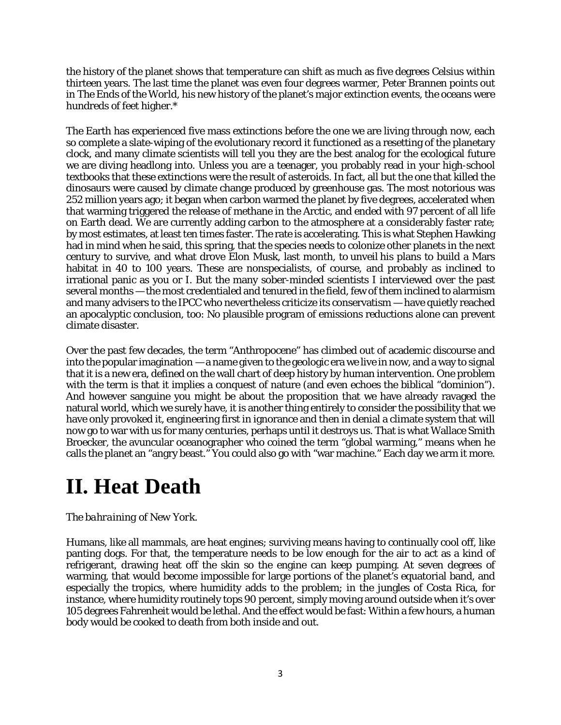the history of the planet shows that temperature can shift as much as five degrees Celsius within thirteen years. The last time the planet was even four degrees warmer, Peter Brannen points out in *[The Ends of the World](https://www.amazon.com/Ends-World-Apocalypses-Understand-Extinctions/dp/0062364804?ascsubtag=%5b%5din%5bp%5dcj4u5jzvo0000osy64knayino%5bi%5dZZzYuL%5bd%5dD%5bz%5dm%5bt%5dw)*, his new history of the planet's major extinction events, the oceans were hundreds of feet higher.\*

The Earth has experienced five mass extinctions before the one we are living through now, each so complete a slate-wiping of the evolutionary record it functioned as a resetting of the planetary clock, and many climate scientists will tell you they are the best analog for the ecological future we are diving headlong into. Unless you are a teenager, you probably read in your high-school textbooks that these extinctions were the result of asteroids. In fact, all but the one that killed the dinosaurs were caused by climate change produced by greenhouse gas. The most notorious was 252 million years ago; it began when carbon warmed the planet by five degrees, accelerated when that warming triggered the release of methane in the Arctic, and ended with 97 percent of all life on Earth dead. We are currently adding carbon to the atmosphere at a considerably faster rate; by most estimates, at least ten times faster. The rate is accelerating. This is what Stephen Hawking had in mind when [he said,](http://www.telegraph.co.uk/science/2017/05/02/tomorrows-world-returns-bbc-startling-warning-stephen-hawking/) this spring, that the species needs to colonize other planets in the next century to survive, and what drove Elon Musk, last month, to [unveil](http://www.newsweek.com/elon-musk-mars-spacex-martian-city-625994) his plans to build a Mars habitat in 40 to 100 years. These are nonspecialists, of course, and probably as inclined to irrational panic as you or I. But the many sober-minded scientists I interviewed over the past several months — the most credentialed and tenured in the field, few of them inclined to alarmism and many advisers to the IPCC who nevertheless criticize its conservatism — have quietly reached an apocalyptic conclusion, too: No plausible program of emissions reductions alone can prevent climate disaster.

Over the past few decades, the term ["Anthropocene" has climbed out of academic discourse and](http://nymag.com/scienceofus/2015/06/anthropocene-debate.html)  [into the popular imagination](http://nymag.com/scienceofus/2015/06/anthropocene-debate.html) — a name given to the geologic era we live in now, and a way to signal that it is a new era, defined on the wall chart of deep history by human intervention. One problem with the term is that it implies a conquest of nature (and even echoes the biblical "dominion"). And however sanguine you might be about the proposition that we have already ravaged the natural world, which we surely have, it is another thing entirely to consider the possibility that we have only provoked it, engineering first in ignorance and then in denial a climate system that will now go to war with us for many centuries, perhaps until it destroys us. That is what Wallace Smith Broecker, the avuncular oceanographer who coined the term "global warming," means when he calls the planet an "angry beast." You could also go with "war machine." Each day we arm it more.

## **II. Heat Death**

#### *The bahraining of New York.*

Humans, like all mammals, are heat engines; surviving means having to continually cool off, like panting dogs. For that, the temperature needs to be low enough for the air to act as a kind of refrigerant, drawing heat off the skin so the engine can keep pumping. At seven degrees of warming, that would become impossible for large portions of the planet's equatorial band, and especially the tropics, where humidity adds to the problem; in the jungles of Costa Rica, for instance, where humidity routinely tops 90 percent, simply moving around outside when it's over 105 degrees Fahrenheit would be lethal. And the effect would be fast: Within a few hours, a human body would be cooked to death from both inside and out.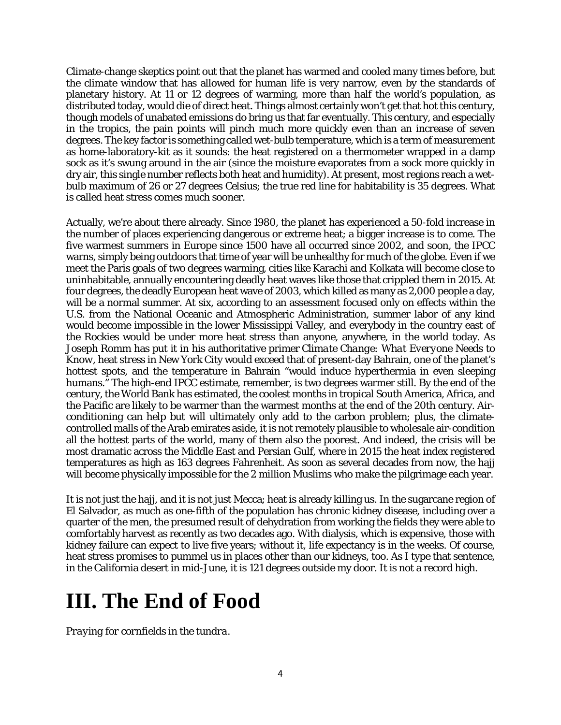Climate-change skeptics point out that the planet has warmed and cooled many times before, but the climate window that has allowed for human life is very narrow, even by the standards of planetary history. At 11 or 12 degrees of warming, more than half the world's population, as distributed today, would die of direct heat. Things almost certainly won't get that hot this century, though models of unabated emissions do bring us that far eventually. This century, and especially in the tropics, the pain points will pinch much more quickly even than an increase of seven degrees. The key factor is something called wet-bulb temperature, which is a term of measurement as home-laboratory-kit as it sounds: the heat registered on a thermometer wrapped in a damp sock as it's swung around in the air (since the moisture evaporates from a sock more quickly in dry air, this single number reflects both heat and humidity). At present, most regions reach a wetbulb maximum of 26 or 27 degrees Celsius; the true red line for habitability is 35 degrees. What is called heat stress comes much sooner.

Actually, we're about there already. Since 1980, the planet has experienced a 50-fold increase in the number of places experiencing dangerous or extreme heat; a bigger increase is to come. The five warmest summers in Europe since 1500 have all occurred since 2002, and soon, the IPCC warns, simply being outdoors that time of year will be unhealthy for much of the globe. Even if we meet the Paris goals of two degrees warming, cities like Karachi and Kolkata will become close to uninhabitable, annually encountering deadly heat waves like those that crippled them in 2015. At four degrees, the deadly European heat wave of 2003, which killed as many as 2,000 people a day, will be a normal summer. At six, according to an assessment focused only on effects within the U.S. from the National Oceanic and Atmospheric Administration, summer labor of any kind would become impossible in the lower Mississippi Valley, and everybody in the country east of the Rockies would be under more heat stress than anyone, anywhere, in the world today. As Joseph Romm has put it in his authoritative primer *[Climate Change: What Everyone Needs to](https://www.amazon.com/Climate-Change-Everyone-Needs-Know%C2%AE/dp/0190250178?ascsubtag=%5b%5din%5bp%5dcj4u5jzvo0000osy64knayino%5bi%5dhFf9XP%5bd%5dD%5bz%5dm%5bt%5dw)  [Know,](https://www.amazon.com/Climate-Change-Everyone-Needs-Know%C2%AE/dp/0190250178?ascsubtag=%5b%5din%5bp%5dcj4u5jzvo0000osy64knayino%5bi%5dhFf9XP%5bd%5dD%5bz%5dm%5bt%5dw)* heat stress in New York City would exceed that of present-day Bahrain, one of the planet's hottest spots, and the temperature in Bahrain "would induce hyperthermia in even sleeping humans." The high-end IPCC estimate, remember, is two degrees warmer still. By the end of the century, the World Bank has estimated, the coolest months in tropical South America, Africa, and the Pacific are likely to be warmer than the warmest months at the end of the 20th century. Airconditioning can help but will ultimately only add to the carbon problem; plus, the climatecontrolled malls of the Arab emirates aside, it is not remotely plausible to wholesale air-condition all the hottest parts of the world, many of them also the poorest. And indeed, the crisis will be most dramatic across the Middle East and Persian Gulf, where in 2015 the heat index registered temperatures as high as 163 degrees Fahrenheit. As soon as several decades from now, the hajj will become physically impossible for the 2 million Muslims who make the pilgrimage each year.

It is not just the hajj, and it is not just Mecca; heat is already killing us. In the sugarcane region of El Salvador, as much as one-fifth of the population has chronic kidney disease, including over a quarter of the men, the presumed result of dehydration from working the fields they were able to comfortably harvest as recently as two decades ago. With dialysis, which is expensive, those with kidney failure can expect to live five years; without it, life expectancy is in the weeks. Of course, heat stress promises to pummel us in places other than our kidneys, too. As I type that sentence, in the California desert in mid-June, it is 121 degrees outside my door. It is not a record high.

### **III. The End of Food**

*Praying for cornfields in the tundra.*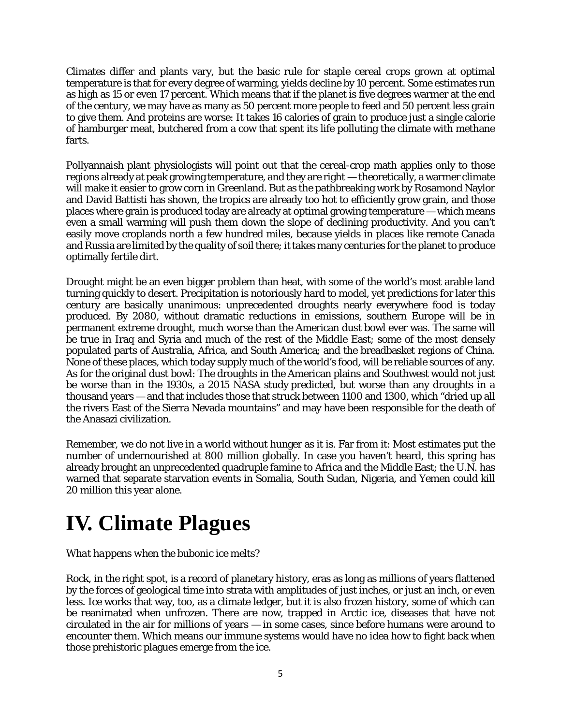Climates differ and plants vary, but the basic rule for staple cereal crops grown at optimal temperature is that for every degree of warming, yields decline by 10 percent. Some estimates run as high as 15 or even 17 percent. Which means that if the planet is five degrees warmer at the end of the century, we may have as many as 50 percent more people to feed and 50 percent less grain to give them. And proteins are worse: It takes 16 calories of grain to produce just a single calorie of hamburger meat, butchered from a cow that spent its life polluting the climate with methane farts.

Pollyannaish plant physiologists will point out that the cereal-crop math applies only to those regions already at peak growing temperature, and they are right — theoretically, a warmer climate will make it easier to grow corn in Greenland. But as the pathbreaking work by Rosamond Naylor and David Battisti has shown, the tropics are already too hot to efficiently grow grain, and those places where grain is produced today are already at optimal growing temperature — which means even a small warming will push them down the slope of declining productivity. And you can't easily move croplands north a few hundred miles, because yields in places like remote Canada and Russia are limited by the quality of soil there; it takes many centuries for the planet to produce optimally fertile dirt.

Drought might be an even bigger problem than heat, with some of the world's most arable land turning quickly to desert. Precipitation is notoriously hard to model, yet predictions for later this century are basically unanimous: unprecedented droughts nearly everywhere food is today produced. By 2080, without dramatic reductions in emissions, southern Europe will be in permanent extreme drought, much worse than the American dust bowl ever was. The same will be true in Iraq and Syria and much of the rest of the Middle East; some of the most densely populated parts of Australia, Africa, and South America; and the breadbasket regions of China. None of these places, which today supply much of the world's food, will be reliable sources of any. As for the original dust bowl: The droughts in the American plains and Southwest would not just be worse than in the 1930s, a 2015 NASA study [predicted,](https://www.nasa.gov/press/2015/february/nasa-study-finds-carbon-emissions-could-dramatically-increase-risk-of-us) but worse than any droughts in a thousand years — and that includes those that struck between 1100 and 1300, which "dried up all the rivers East of the Sierra Nevada mountains" and may have been responsible for the death of the Anasazi civilization.

Remember, we do not live in a world without hunger as it is. Far from it: Most estimates put the number of undernourished at 800 million globally. In case you haven't heard, this spring has already brought an unprecedented quadruple famine to Africa and the Middle East; the U.N. has warned that separate starvation events in Somalia, South Sudan, Nigeria, and Yemen could kill 20 million this year alone.

### **IV. Climate Plagues**

#### *What happens when the bubonic ice melts?*

Rock, in the right spot, is a record of planetary history, eras as long as millions of years flattened by the forces of geological time into strata with amplitudes of just inches, or just an inch, or even less. Ice works that way, too, as a climate ledger, but it is also frozen history, some of which can be reanimated when unfrozen. There are now, trapped in Arctic ice, diseases that have not circulated in the air for millions of years — in some cases, since before humans were around to encounter them. Which means our immune systems would have no idea how to fight back when those prehistoric plagues emerge from the ice.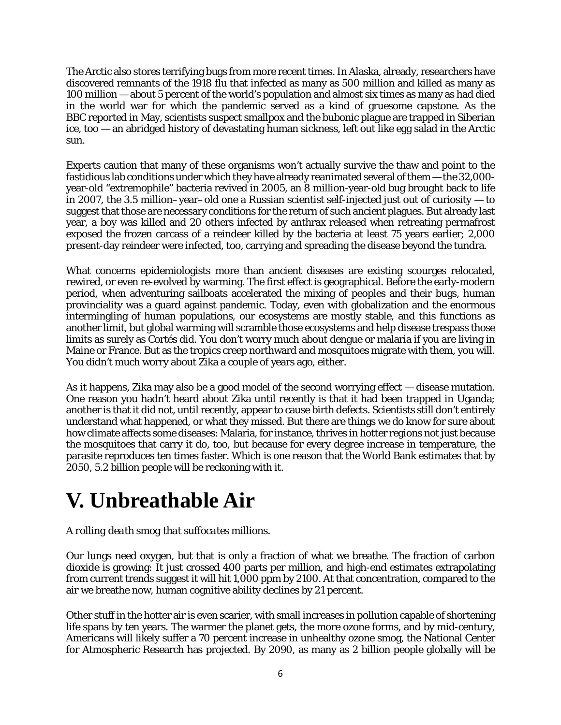The Arctic also stores terrifying bugs from more recent times. In Alaska, already, researchers have discovered remnants of the 1918 flu that infected as many as 500 million and killed as many as 100 million — about 5 percent of the world's population and almost six times as many as had died in the world war for which the pandemic served as a kind of gruesome capstone. As the BBC [reported](http://www.bbc.com/earth/story/20170504-there-are-diseases-hidden-in-ice-and-they-are-waking-up) in May, scientists suspect smallpox and the bubonic plague are trapped in Siberian ice, too — an abridged history of devastating human sickness, left out like egg salad in the Arctic sun.

Experts caution that many of these organisms won't actually survive the thaw and point to the fastidious lab conditions under which they have already reanimated several of them — the 32,000 year-old "extremophile" bacteria revived in 2005, an 8 million-year-old bug brought back to life in 2007, the 3.5 million–year–old one a Russian scientist [self-injected](https://www.youtube.com/watch?v=lv0_Cu0FcPA) just out of curiosity — to suggest that those are necessary conditions for the return of such ancient plagues. But already last year, a boy was killed and 20 others infected by anthrax released when retreating permafrost exposed the frozen carcass of a reindeer killed by the bacteria at least 75 years earlier; 2,000 present-day reindeer were infected, too, carrying and spreading the disease beyond the tundra.

What concerns epidemiologists more than ancient diseases are existing scourges relocated, rewired, or even re-evolved by warming. The first effect is geographical. Before the early-modern period, when adventuring sailboats accelerated the mixing of peoples and their bugs, human provinciality was a guard against pandemic. Today, even with globalization and the enormous intermingling of human populations, our ecosystems are mostly stable, and this functions as another limit, but global warming will scramble those ecosystems and help disease trespass those limits as surely as Cortés did. You don't worry much about dengue or malaria if you are living in Maine or France. But as the tropics creep northward and mosquitoes migrate with them, you will. You didn't much worry about Zika a couple of years ago, either.

As it happens, [Zika may also be a good model](http://nymag.com/scienceofus/2016/02/zika-virus-gmo-mosquitoes.html) of the second worrying effect — disease mutation. One reason you hadn't heard about Zika until recently is that it had been trapped in Uganda; another is that it did not, until recently, appear to cause birth defects. Scientists still don't entirely understand what happened, or what they missed. But there are things we do know for sure about how climate affects some diseases: Malaria, for instance, thrives in hotter regions not just because the mosquitoes that carry it do, too, but because for every degree increase in temperature, the parasite reproduces ten times faster. Which is one reason that the World Bank estimates that by 2050, 5.2 billion people will be reckoning with it.

### **V. Unbreathable Air**

#### *A rolling death smog that suffocates millions.*

Our lungs need oxygen, but that is only a fraction of what we breathe. The fraction of carbon dioxide is growing: It just crossed 400 parts per million, and high-end estimates extrapolating from current trends suggest it will hit 1,000 ppm by 2100. At that concentration, compared to the air we breathe now, human cognitive ability declines by 21 percent.

Other stuff in the hotter air is even scarier, with small increases in pollution capable of shortening life spans by ten years. The warmer the planet gets, the more ozone forms, and by mid-century, Americans will likely suffer a 70 percent increase in unhealthy ozone smog, the National Center for Atmospheric Research has projected. By 2090, as many as 2 billion people globally will be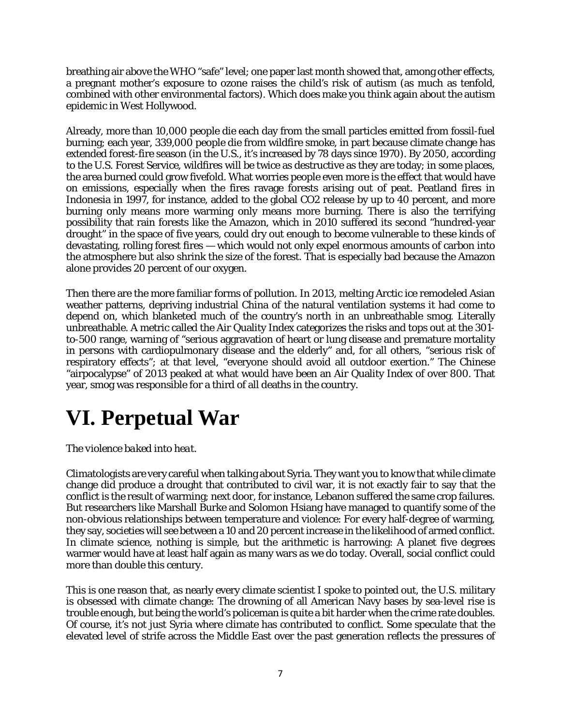breathing air above the WHO "safe" level; one paper last month showed that, among other effects, a pregnant mother's exposure to ozone raises the child's risk of autism (as much as tenfold, combined with other environmental factors). Which does make you think again about the autism epidemic in West Hollywood.

Already, more than 10,000 people die each day from the small particles emitted from fossil-fuel burning; each year, 339,000 people die from wildfire smoke, in part because climate change has extended forest-fire season (in the U.S., it's increased by 78 days since 1970). By 2050, according to the [U.S. Forest Service,](https://www.usda.gov/oce/climate_change/effects_2012/FS_Climate1114%20opt.pdf) wildfires will be twice as destructive as they are today; in some places, the area burned could grow fivefold. What worries people even more is the effect that would have on emissions, especially when the fires ravage forests arising out of peat. Peatland fires in Indonesia in 1997, for instance, added to the global CO2 release by up to 40 percent, and more burning only means more warming only means more burning. There is also the terrifying possibility that rain forests like the Amazon, which in 2010 suffered its second "hundred-year drought" in the space of five years, could dry out enough to become vulnerable to these kinds of devastating, rolling forest fires — which would not only expel enormous amounts of carbon into the atmosphere but also shrink the size of the forest. That is especially bad because the Amazon alone provides 20 percent of our oxygen.

Then there are the more familiar forms of pollution. In 2013, melting Arctic ice remodeled Asian weather patterns, depriving industrial China of the natural ventilation systems it had come to depend on, which blanketed much of the country's north in an unbreathable smog. Literally unbreathable. A metric called the Air Quality Index categorizes the risks and tops out at the 301 to-500 range, warning of "serious aggravation of heart or lung disease and premature mortality in persons with cardiopulmonary disease and the elderly" and, for all others, "serious risk of respiratory effects"; at that level, "everyone should avoid all outdoor exertion." The Chinese "airpocalypse" of 2013 peaked at what would have been an Air Quality Index of over 800. That year, smog was responsible for a third of all deaths in the country.

### **VI. Perpetual War**

#### *The violence baked into heat.*

Climatologists are very careful when talking about Syria. They want you to know that while climate change did produce a drought that contributed to civil war, it is not exactly fair to say that the conflict is the result of warming; next door, for instance, Lebanon suffered the same crop failures. But researchers like Marshall Burke and Solomon Hsiang have managed to quantify some of the non-obvious relationships between temperature and violence: For every half-degree of warming, they say, societies will see between a 10 and 20 percent increase in the likelihood of armed conflict. In climate science, nothing is simple, but the arithmetic is harrowing: A planet five degrees warmer would have at least half again as many wars as we do today. Overall, social conflict could more than double this century.

This is one reason that, as nearly every climate scientist I spoke to pointed out, the U.S. military is obsessed with climate change: The drowning of all American Navy bases by sea-level rise is trouble enough, but being the world's policeman is quite a bit harder when the crime rate doubles. Of course, it's not just Syria where climate has contributed to conflict. Some speculate that the elevated level of strife across the Middle East over the past generation reflects the pressures of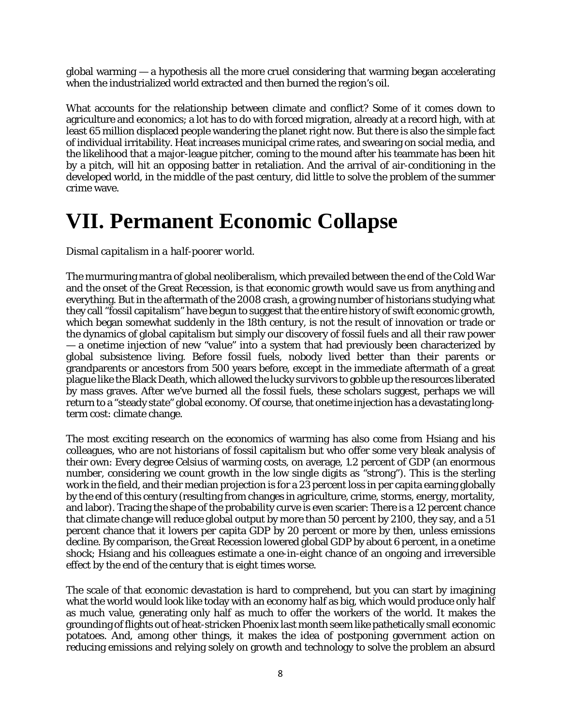global warming  $-$  a hypothesis all the more cruel considering that warming began accelerating when the industrialized world extracted and then burned the region's oil.

What accounts for the relationship between climate and conflict? Some of it comes down to agriculture and economics; a lot has to do with forced migration, already at a record high, with at least 65 million displaced people wandering the planet right now. But there is also the simple fact of individual irritability. Heat increases municipal crime rates, and swearing on social media, and the likelihood that a major-league pitcher, coming to the mound after his teammate has been hit by a pitch, will hit an opposing batter in retaliation. And the arrival of air-conditioning in the developed world, in the middle of the past century, did little to solve the problem of the summer crime wave.

### **VII. Permanent Economic Collapse**

#### *Dismal capitalism in a half-poorer world.*

The murmuring mantra of global neoliberalism, which prevailed between the end of the Cold War and the onset of the Great Recession, is that economic growth would save us from anything and everything. But in the aftermath of the 2008 crash, a growing number of historians studying what they call "fossil capitalism" have begun to suggest that the entire history of swift economic growth, which began somewhat suddenly in the 18th century, is not the result of innovation or trade or the dynamics of global capitalism but simply our discovery of fossil fuels and all their raw power — a onetime injection of new "value" into a system that had previously been characterized by global subsistence living. Before fossil fuels, nobody lived better than their parents or grandparents or ancestors from 500 years before, except in the immediate aftermath of a great plague like the Black Death, which allowed the lucky survivors to gobble up the resources liberated by mass graves. After we've burned all the fossil fuels, these scholars suggest, perhaps we will return to a "steady state" global economy. Of course, that onetime injection has a devastating longterm cost: climate change.

The most exciting research on the economics of warming has also come from Hsiang and his colleagues, who are not historians of fossil capitalism but who offer some very bleak analysis of their own: Every degree Celsius of warming costs, on average, 1.2 percent of GDP (an enormous number, considering we count growth in the low single digits as "strong"). This is the sterling work in the field, and their median projection is for a 23 percent loss in per capita earning globally by the end of this century (resulting from changes in agriculture, crime, storms, energy, mortality, and labor). Tracing the shape of the probability curve is even scarier: There is a 12 percent chance that climate change will reduce global output by more than 50 percent by 2100, they say, and a 51 percent chance that it lowers per capita GDP by 20 percent or more by then, unless emissions decline. By comparison, the Great Recession lowered global GDP by about 6 percent, in a onetime shock; Hsiang and his colleagues estimate a one-in-eight chance of an ongoing and irreversible effect by the end of the century that is eight times worse.

The scale of that economic devastation is hard to comprehend, but you can start by imagining what the world would look like today with an economy half as big, which would produce only half as much value, generating only half as much to offer the workers of the world. It makes the grounding of flights out of heat-stricken Phoenix last month seem like pathetically small economic potatoes. And, among other things, it makes the idea of postponing government action on reducing emissions and relying solely on growth and technology to solve the problem an absurd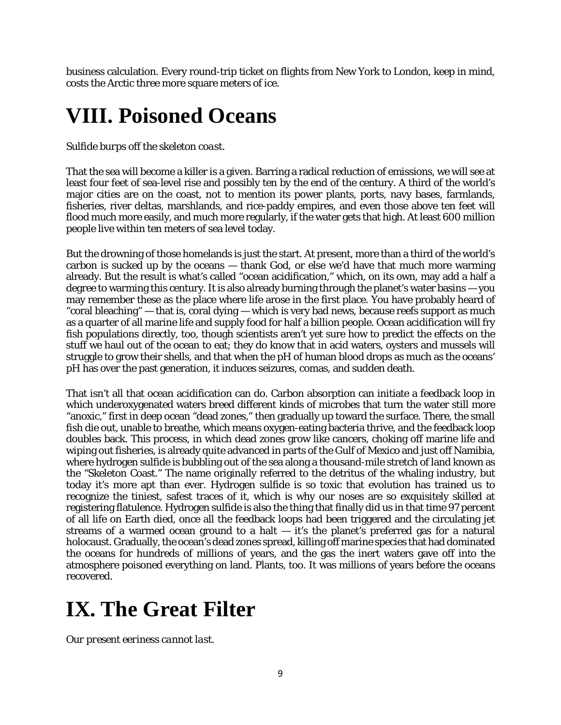business calculation. Every round-trip ticket on flights from New York to London, keep in mind, costs the Arctic three more square meters of ice.

### **VIII. Poisoned Oceans**

#### *Sulfide burps off the skeleton coast.*

That the sea will become a killer is a given. Barring a radical reduction of emissions, we will see at least four feet of sea-level rise and possibly ten by the end of the century. A third of the world's major cities are on the coast, not to mention its power plants, ports, navy bases, farmlands, fisheries, river deltas, marshlands, and rice-paddy empires, and even those above ten feet will flood much more easily, and much more regularly, if the water gets that high. At least 600 million people live within ten meters of sea level today.

But the drowning of those homelands is just the start. At present, more than a third of the world's carbon is sucked up by the oceans — thank God, or else we'd have that much more warming already. But the result is what's called "ocean acidification," which, on its own, may add a half a degree to warming this century. It is also already burning through the planet's water basins — you may remember these as the place where life arose in the first place. You have probably heard of "coral bleaching" — that is, coral dying — which is very bad news, because reefs support as much as a quarter of all marine life and supply food for half a billion people. Ocean acidification will fry fish populations directly, too, though scientists aren't yet sure how to predict the effects on the stuff we haul out of the ocean to eat; they do know that in acid waters, oysters and mussels will struggle to grow their shells, and that when the pH of human blood drops as much as the oceans' pH has over the past generation, it induces seizures, comas, and sudden death.

That isn't all that ocean acidification can do. Carbon absorption can initiate a feedback loop in which underoxygenated waters breed different kinds of microbes that turn the water still more "anoxic," first in deep ocean "dead zones," then gradually up toward the surface. There, the small fish die out, unable to breathe, which means oxygen-eating bacteria thrive, and the feedback loop doubles back. This process, in which dead zones grow like cancers, choking off marine life and wiping out fisheries, is already quite advanced in parts of the Gulf of Mexico and just off Namibia, where hydrogen sulfide is bubbling out of the sea along a thousand-mile stretch of land known as the "Skeleton Coast." The name originally referred to the detritus of the whaling industry, but today it's more apt than ever. Hydrogen sulfide is so toxic that evolution has trained us to recognize the tiniest, safest traces of it, which is why our noses are so exquisitely skilled at registering flatulence. Hydrogen sulfide is also the thing that finally did us in that time 97 percent of all life on Earth died, once all the feedback loops had been triggered and the circulating jet streams of a warmed ocean ground to a halt  $-$  it's the planet's preferred gas for a natural holocaust. Gradually, the ocean's dead zones spread, killing off marine species that had dominated the oceans for hundreds of millions of years, and the gas the inert waters gave off into the atmosphere poisoned everything on land. Plants, too. It was millions of years before the oceans recovered.

#### **IX. The Great Filter**

*Our present eeriness cannot last.*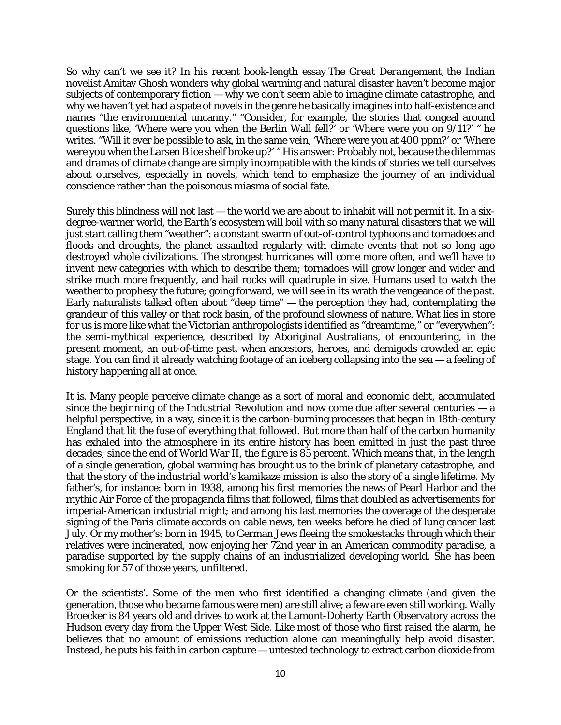So why can't we see it? In his recent book-length essay *[The Great Derangement,](https://www.amazon.com/Great-Derangement-Climate-Unthinkable-Lectures/dp/022632303X?ascsubtag=%5b%5din%5bp%5dcj4u5jzvo0000osy64knayino%5bi%5dc50FCK%5bd%5dD%5bz%5dm%5bt%5dw)* the Indian novelist Amitav Ghosh wonders why global warming and natural disaster haven't become major subjects of contemporary fiction — why we don't seem able to imagine climate catastrophe, and why we haven't yet had a spate of novels in the genre he basically imagines into half-existence and names "the environmental uncanny." "Consider, for example, the stories that congeal around questions like, 'Where were you when the Berlin Wall fell?' or 'Where were you on 9/11?' " he writes. "Will it ever be possible to ask, in the same vein, 'Where were you at 400 ppm?' or 'Where were you when the Larsen B ice shelf broke up?' " His answer: Probably not, because the dilemmas and dramas of climate change are simply incompatible with the kinds of stories we tell ourselves about ourselves, especially in novels, which tend to emphasize the journey of an individual conscience rather than the poisonous miasma of social fate.

Surely this blindness will not last — the world we are about to inhabit will not permit it. In a sixdegree-warmer world, the Earth's ecosystem will boil with so many natural disasters that we will just start calling them "weather": a constant swarm of out-of-control typhoons and tornadoes and floods and droughts, the planet assaulted regularly with climate events that not so long ago destroyed whole civilizations. The strongest hurricanes will come more often, and we'll have to invent new categories with which to describe them; tornadoes will grow longer and wider and strike much more frequently, and hail rocks will quadruple in size. Humans used to watch the weather to prophesy the future; going forward, we will see in its wrath the vengeance of the past. Early naturalists talked often about "deep time" — the perception they had, contemplating the grandeur of this valley or that rock basin, of the profound slowness of nature. What lies in store for us is more like what the Victorian anthropologists identified as "dreamtime," or "everywhen": the semi-mythical experience, described by Aboriginal Australians, of encountering, in the present moment, an out-of-time past, when ancestors, heroes, and demigods crowded an epic stage. You can find it already watching footage of an iceberg collapsing into the sea — a feeling of history happening all at once.

It is. Many people perceive climate change as a sort of moral and economic debt, accumulated since the beginning of the Industrial Revolution and now come due after several centuries  $-$  a helpful perspective, in a way, since it is the carbon-burning processes that began in 18th-century England that lit the fuse of everything that followed. But more than half of the carbon humanity has exhaled into the atmosphere in its entire history has been emitted in just the past three decades; since the end of World War II, the figure is 85 percent. Which means that, in the length of a single generation, global warming has brought us to the brink of planetary catastrophe, and that the story of the industrial world's kamikaze mission is also the story of a single lifetime. My father's, for instance: born in 1938, among his first memories the news of Pearl Harbor and the mythic Air Force of the propaganda films that followed, films that doubled as advertisements for imperial-American industrial might; and among his last memories the coverage of the desperate signing of the Paris climate accords on cable news, ten weeks before he died of lung cancer last July. Or my mother's: born in 1945, to German Jews fleeing the smokestacks through which their relatives were incinerated, now enjoying her 72nd year in an American commodity paradise, a paradise supported by the supply chains of an industrialized developing world. She has been smoking for 57 of those years, unfiltered.

Or the scientists'. Some of the men who first identified a changing climate (and given the generation, those who became famous were men) are still alive; a few are even still working. Wally Broecker is 84 years old and drives to work at the Lamont-Doherty Earth Observatory across the Hudson every day from the Upper West Side. Like most of those who first raised the alarm, he believes that no amount of emissions reduction alone can meaningfully help avoid disaster. Instead, he puts his faith in carbon capture — untested technology to extract carbon dioxide from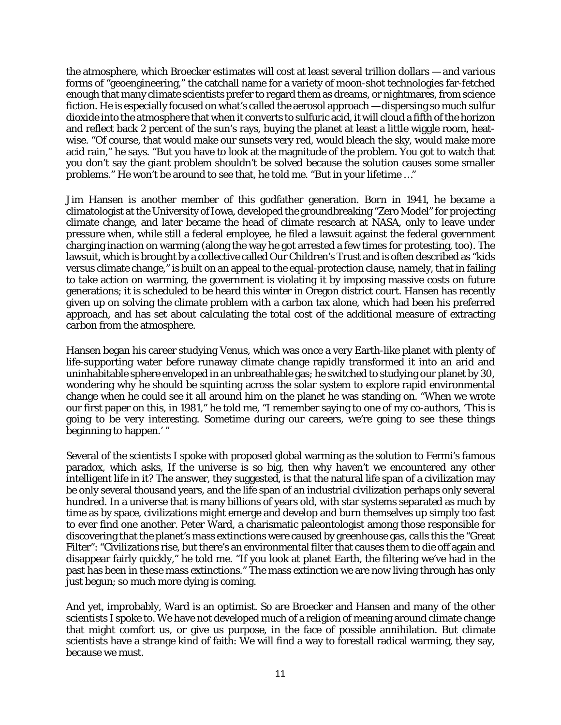the atmosphere, which Broecker estimates will cost at least several trillion dollars — and various forms of "geoengineering," the catchall name for a variety of moon-shot technologies far-fetched enough that many climate scientists prefer to regard them as dreams, or nightmares, from science fiction. He is especially focused on what's called the aerosol approach — dispersing so much sulfur dioxide into the atmosphere that when it converts to sulfuric acid, it will cloud a fifth of the horizon and reflect back 2 percent of the sun's rays, buying the planet at least a little wiggle room, heatwise. "Of course, that would make our sunsets very red, would bleach the sky, would make more acid rain," he says. "But you have to look at the magnitude of the problem. You got to watch that you don't say the giant problem shouldn't be solved because the solution causes some smaller problems." He won't be around to see that, he told me. "But in your lifetime …"

Jim Hansen is another member of this godfather generation. Born in 1941, he became a climatologist at the University of Iowa, developed the groundbreaking "Zero Model" for projecting climate change, and later became the head of climate research at NASA, only to leave under pressure when, while still a federal employee, he filed a lawsuit against the federal government charging inaction on warming (along the way he got arrested a few times for protesting, too). The lawsuit, which is brought by a collective called Our Children's Trust and is often described as "kids versus climate change," is built on an appeal to the equal-protection clause, namely, that in failing to take action on warming, the government is violating it by imposing massive costs on future generations; it is scheduled to be heard this winter in Oregon district court. Hansen has recently given up on solving the climate problem with a carbon tax alone, which had been his preferred approach, and has set about calculating the total cost of the additional measure of extracting carbon from the atmosphere.

Hansen began his career studying Venus, which was once a very Earth-like planet with plenty of life-supporting water before runaway climate change rapidly transformed it into an arid and uninhabitable sphere enveloped in an unbreathable gas; he switched to studying our planet by 30, wondering why he should be squinting across the solar system to explore rapid environmental change when he could see it all around him on the planet he was standing on. "When we wrote our first paper on this, in 1981," he told me, "I remember saying to one of my co-authors, 'This is going to be very interesting. Sometime during our careers, we're going to see these things beginning to happen.' "

Several of the scientists I spoke with proposed global warming as the solution to Fermi's famous paradox, which asks, If the universe is so big, then why haven't we encountered any other intelligent life in it? The answer, they suggested, is that the natural life span of a civilization may be only several thousand years, and the life span of an industrial civilization perhaps only several hundred. In a universe that is many billions of years old, with star systems separated as much by time as by space, civilizations might emerge and develop and burn themselves up simply too fast to ever find one another. Peter Ward, a charismatic paleontologist among those responsible for discovering that the planet's mass extinctions were caused by greenhouse gas, calls this the "Great Filter": "Civilizations rise, but there's an environmental filter that causes them to die off again and disappear fairly quickly," he told me. "If you look at planet Earth, the filtering we've had in the past has been in these mass extinctions." The mass extinction we are now living through has only just begun; so much more dying is coming.

And yet, improbably, Ward is an optimist. So are Broecker and Hansen and many of the other scientists I spoke to. We have not developed much of a religion of meaning around climate change that might comfort us, or give us purpose, in the face of possible annihilation. But climate scientists have a strange kind of faith: We will find a way to forestall radical warming, they say, because we must.